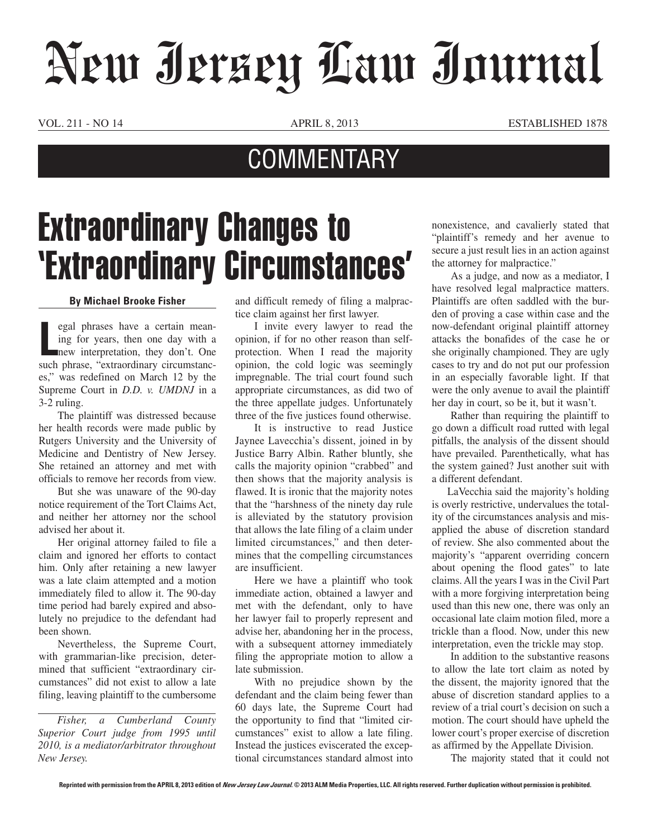## New Jersey Law Journal

VOL. 211 - NO 14 APRIL 8, 2013 ESTABLISHED 1878

## **COMMENTARY**

## Extraordinary Changes to 'Extraordinary Circumstances'

## **By Michael Brooke Fisher**

legal phrases have a certain meaning for years, then one day with a<br>mew interpretation, they don't. One<br>such phrase, "extraordinary circumstancegal phrases have a certain meaning for years, then one day with a new interpretation, they don't. One es," was redefined on March 12 by the Supreme Court in *D.D. v. UMDNJ* in a 3-2 ruling.

The plaintiff was distressed because her health records were made public by Rutgers University and the University of Medicine and Dentistry of New Jersey. She retained an attorney and met with officials to remove her records from view.

But she was unaware of the 90-day notice requirement of the Tort Claims Act, and neither her attorney nor the school advised her about it.

Her original attorney failed to file a claim and ignored her efforts to contact him. Only after retaining a new lawyer was a late claim attempted and a motion immediately filed to allow it. The 90-day time period had barely expired and absolutely no prejudice to the defendant had been shown.

Nevertheless, the Supreme Court, with grammarian-like precision, determined that sufficient "extraordinary circumstances" did not exist to allow a late filing, leaving plaintiff to the cumbersome

*Fisher, a Cumberland County Superior Court judge from 1995 until 2010, is a mediator/arbitrator throughout New Jersey.*

and difficult remedy of filing a malpractice claim against her first lawyer.

I invite every lawyer to read the opinion, if for no other reason than selfprotection. When I read the majority opinion, the cold logic was seemingly impregnable. The trial court found such appropriate circumstances, as did two of the three appellate judges. Unfortunately three of the five justices found otherwise.

It is instructive to read Justice Jaynee Lavecchia's dissent, joined in by Justice Barry Albin. Rather bluntly, she calls the majority opinion "crabbed" and then shows that the majority analysis is flawed. It is ironic that the majority notes that the "harshness of the ninety day rule is alleviated by the statutory provision that allows the late filing of a claim under limited circumstances," and then determines that the compelling circumstances are insufficient.

Here we have a plaintiff who took immediate action, obtained a lawyer and met with the defendant, only to have her lawyer fail to properly represent and advise her, abandoning her in the process, with a subsequent attorney immediately filing the appropriate motion to allow a late submission.

With no prejudice shown by the defendant and the claim being fewer than 60 days late, the Supreme Court had the opportunity to find that "limited circumstances" exist to allow a late filing. Instead the justices eviscerated the exceptional circumstances standard almost into nonexistence, and cavalierly stated that "plaintiff's remedy and her avenue to secure a just result lies in an action against the attorney for malpractice."

As a judge, and now as a mediator, I have resolved legal malpractice matters. Plaintiffs are often saddled with the burden of proving a case within case and the now-defendant original plaintiff attorney attacks the bonafides of the case he or she originally championed. They are ugly cases to try and do not put our profession in an especially favorable light. If that were the only avenue to avail the plaintiff her day in court, so be it, but it wasn't.

 Rather than requiring the plaintiff to go down a difficult road rutted with legal pitfalls, the analysis of the dissent should have prevailed. Parenthetically, what has the system gained? Just another suit with a different defendant.

 LaVecchia said the majority's holding is overly restrictive, undervalues the totality of the circumstances analysis and misapplied the abuse of discretion standard of review. She also commented about the majority's "apparent overriding concern about opening the flood gates" to late claims. All the years I was in the Civil Part with a more forgiving interpretation being used than this new one, there was only an occasional late claim motion filed, more a trickle than a flood. Now, under this new interpretation, even the trickle may stop.

 In addition to the substantive reasons to allow the late tort claim as noted by the dissent, the majority ignored that the abuse of discretion standard applies to a review of a trial court's decision on such a motion. The court should have upheld the lower court's proper exercise of discretion as affirmed by the Appellate Division.

The majority stated that it could not